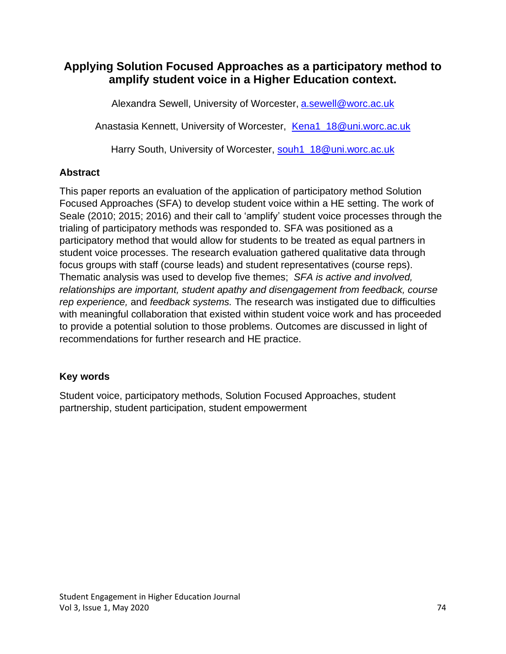# **Applying Solution Focused Approaches as a participatory method to amplify student voice in a Higher Education context.**

Alexandra Sewell, University of Worcester, **[a.sewell@worc.ac.uk](mailto:a.sewell@worc.ac.uk)** 

Anastasia Kennett, University of Worcester, [Kena1\\_18@uni.worc.ac.uk](mailto:Kena1_18@uni.worc.ac.uk)

Harry South, University of Worcester, [souh1\\_18@uni.worc.ac.uk](mailto:souh1_18@uni.worc.ac.uk)

# **Abstract**

This paper reports an evaluation of the application of participatory method Solution Focused Approaches (SFA) to develop student voice within a HE setting. The work of Seale (2010; 2015; 2016) and their call to 'amplify' student voice processes through the trialing of participatory methods was responded to. SFA was positioned as a participatory method that would allow for students to be treated as equal partners in student voice processes. The research evaluation gathered qualitative data through focus groups with staff (course leads) and student representatives (course reps). Thematic analysis was used to develop five themes; *SFA is active and involved, relationships are important, student apathy and disengagement from feedback, course rep experience,* and *feedback systems.* The research was instigated due to difficulties with meaningful collaboration that existed within student voice work and has proceeded to provide a potential solution to those problems. Outcomes are discussed in light of recommendations for further research and HE practice.

# **Key words**

Student voice, participatory methods, Solution Focused Approaches, student partnership, student participation, student empowerment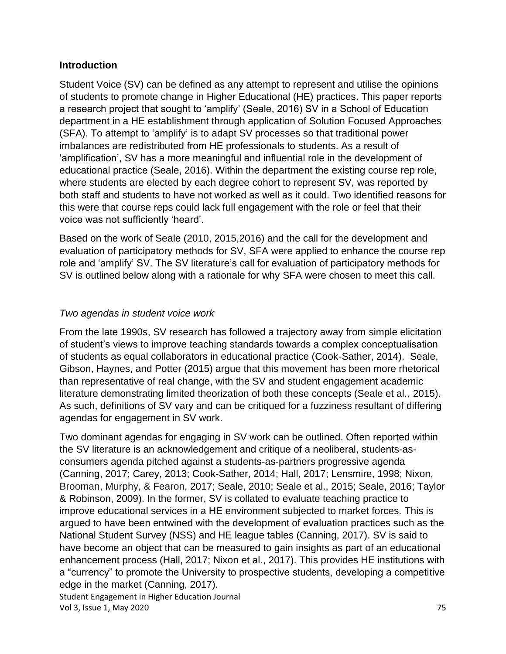#### **Introduction**

Student Voice (SV) can be defined as any attempt to represent and utilise the opinions of students to promote change in Higher Educational (HE) practices. This paper reports a research project that sought to 'amplify' (Seale, 2016) SV in a School of Education department in a HE establishment through application of Solution Focused Approaches (SFA). To attempt to 'amplify' is to adapt SV processes so that traditional power imbalances are redistributed from HE professionals to students. As a result of 'amplification', SV has a more meaningful and influential role in the development of educational practice (Seale, 2016). Within the department the existing course rep role, where students are elected by each degree cohort to represent SV, was reported by both staff and students to have not worked as well as it could. Two identified reasons for this were that course reps could lack full engagement with the role or feel that their voice was not sufficiently 'heard'.

Based on the work of Seale (2010, 2015,2016) and the call for the development and evaluation of participatory methods for SV, SFA were applied to enhance the course rep role and 'amplify' SV. The SV literature's call for evaluation of participatory methods for SV is outlined below along with a rationale for why SFA were chosen to meet this call.

### *Two agendas in student voice work*

From the late 1990s, SV research has followed a trajectory away from simple elicitation of student's views to improve teaching standards towards a complex conceptualisation of students as equal collaborators in educational practice (Cook-Sather, 2014). Seale, Gibson, Haynes, and Potter (2015) argue that this movement has been more rhetorical than representative of real change, with the SV and student engagement academic literature demonstrating limited theorization of both these concepts (Seale et al., 2015). As such, definitions of SV vary and can be critiqued for a fuzziness resultant of differing agendas for engagement in SV work.

Student Engagement in Higher Education Journal Vol 3, Issue 1, May 2020 75 Two dominant agendas for engaging in SV work can be outlined. Often reported within the SV literature is an acknowledgement and critique of a neoliberal, students-asconsumers agenda pitched against a students-as-partners progressive agenda (Canning, 2017; Carey, 2013; Cook-Sather, 2014; Hall, 2017; Lensmire, 1998; Nixon, Brooman, Murphy, & Fearon, 2017; Seale, 2010; Seale et al., 2015; Seale, 2016; Taylor & Robinson, 2009). In the former, SV is collated to evaluate teaching practice to improve educational services in a HE environment subjected to market forces. This is argued to have been entwined with the development of evaluation practices such as the National Student Survey (NSS) and HE league tables (Canning, 2017). SV is said to have become an object that can be measured to gain insights as part of an educational enhancement process (Hall, 2017; Nixon et al., 2017). This provides HE institutions with a "currency" to promote the University to prospective students, developing a competitive edge in the market (Canning, 2017).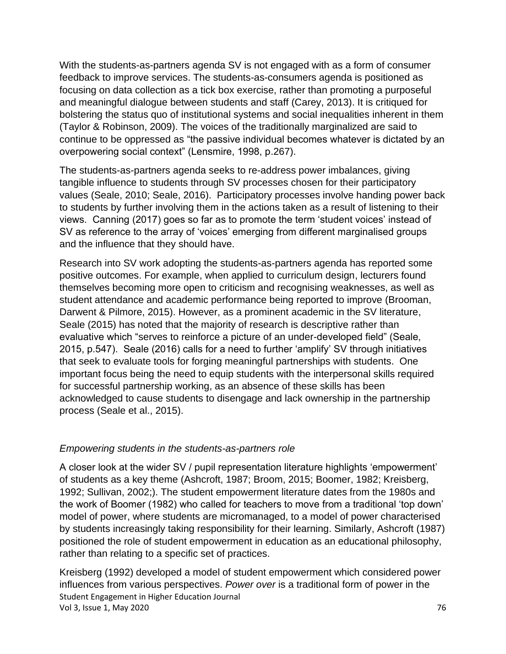With the students-as-partners agenda SV is not engaged with as a form of consumer feedback to improve services. The students-as-consumers agenda is positioned as focusing on data collection as a tick box exercise, rather than promoting a purposeful and meaningful dialogue between students and staff (Carey, 2013). It is critiqued for bolstering the status quo of institutional systems and social inequalities inherent in them (Taylor & Robinson, 2009). The voices of the traditionally marginalized are said to continue to be oppressed as "the passive individual becomes whatever is dictated by an overpowering social context" (Lensmire, 1998, p.267).

The students-as-partners agenda seeks to re-address power imbalances, giving tangible influence to students through SV processes chosen for their participatory values (Seale, 2010; Seale, 2016). Participatory processes involve handing power back to students by further involving them in the actions taken as a result of listening to their views. Canning (2017) goes so far as to promote the term 'student voices' instead of SV as reference to the array of 'voices' emerging from different marginalised groups and the influence that they should have.

Research into SV work adopting the students-as-partners agenda has reported some positive outcomes. For example, when applied to curriculum design, lecturers found themselves becoming more open to criticism and recognising weaknesses, as well as student attendance and academic performance being reported to improve (Brooman, Darwent & Pilmore, 2015). However, as a prominent academic in the SV literature, Seale (2015) has noted that the majority of research is descriptive rather than evaluative which "serves to reinforce a picture of an under-developed field" (Seale, 2015, p.547). Seale (2016) calls for a need to further 'amplify' SV through initiatives that seek to evaluate tools for forging meaningful partnerships with students. One important focus being the need to equip students with the interpersonal skills required for successful partnership working, as an absence of these skills has been acknowledged to cause students to disengage and lack ownership in the partnership process (Seale et al., 2015).

#### *Empowering students in the students-as-partners role*

A closer look at the wider SV / pupil representation literature highlights 'empowerment' of students as a key theme (Ashcroft, 1987; Broom, 2015; Boomer, 1982; Kreisberg, 1992; Sullivan, 2002;). The student empowerment literature dates from the 1980s and the work of Boomer (1982) who called for teachers to move from a traditional 'top down' model of power, where students are micromanaged, to a model of power characterised by students increasingly taking responsibility for their learning. Similarly, Ashcroft (1987) positioned the role of student empowerment in education as an educational philosophy, rather than relating to a specific set of practices.

Student Engagement in Higher Education Journal Vol 3, Issue 1, May 2020 76 Kreisberg (1992) developed a model of student empowerment which considered power influences from various perspectives. *Power over* is a traditional form of power in the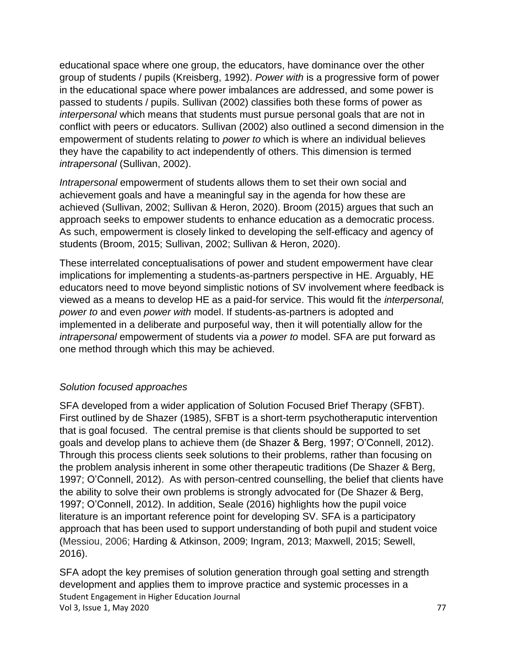educational space where one group, the educators, have dominance over the other group of students / pupils (Kreisberg, 1992). *Power with* is a progressive form of power in the educational space where power imbalances are addressed, and some power is passed to students / pupils. Sullivan (2002) classifies both these forms of power as *interpersonal* which means that students must pursue personal goals that are not in conflict with peers or educators. Sullivan (2002) also outlined a second dimension in the empowerment of students relating to *power to* which is where an individual believes they have the capability to act independently of others. This dimension is termed *intrapersonal* (Sullivan, 2002).

*Intrapersonal* empowerment of students allows them to set their own social and achievement goals and have a meaningful say in the agenda for how these are achieved (Sullivan, 2002; Sullivan & Heron, 2020). Broom (2015) argues that such an approach seeks to empower students to enhance education as a democratic process. As such, empowerment is closely linked to developing the self-efficacy and agency of students (Broom, 2015; Sullivan, 2002; Sullivan & Heron, 2020).

These interrelated conceptualisations of power and student empowerment have clear implications for implementing a students-as-partners perspective in HE. Arguably, HE educators need to move beyond simplistic notions of SV involvement where feedback is viewed as a means to develop HE as a paid-for service. This would fit the *interpersonal, power to* and even *power with* model. If students-as-partners is adopted and implemented in a deliberate and purposeful way, then it will potentially allow for the *intrapersonal* empowerment of students via a *power to* model. SFA are put forward as one method through which this may be achieved.

### *Solution focused approaches*

SFA developed from a wider application of Solution Focused Brief Therapy (SFBT). First outlined by de Shazer (1985), SFBT is a short-term psychotheraputic intervention that is goal focused. The central premise is that clients should be supported to set goals and develop plans to achieve them (de Shazer & Berg, 1997; O'Connell, 2012). Through this process clients seek solutions to their problems, rather than focusing on the problem analysis inherent in some other therapeutic traditions (De Shazer & Berg, 1997; O'Connell, 2012). As with person-centred counselling, the belief that clients have the ability to solve their own problems is strongly advocated for (De Shazer & Berg, 1997; O'Connell, 2012). In addition, Seale (2016) highlights how the pupil voice literature is an important reference point for developing SV. SFA is a participatory approach that has been used to support understanding of both pupil and student voice (Messiou, 2006; Harding & Atkinson, 2009; Ingram, 2013; Maxwell, 2015; Sewell, 2016).

Student Engagement in Higher Education Journal Vol 3, Issue 1, May 2020 77 and the United States of the United States of the United States of the United States of the United States of the United States of the United States of the United States of the United States of t SFA adopt the key premises of solution generation through goal setting and strength development and applies them to improve practice and systemic processes in a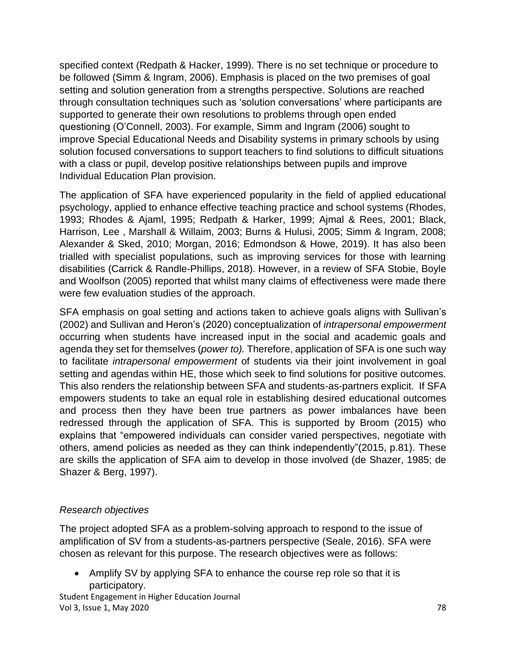specified context (Redpath & Hacker, 1999). There is no set technique or procedure to be followed (Simm & Ingram, 2006). Emphasis is placed on the two premises of goal setting and solution generation from a strengths perspective. Solutions are reached through consultation techniques such as 'solution conversations' where participants are supported to generate their own resolutions to problems through open ended questioning (O'Connell, 2003). For example, Simm and Ingram (2006) sought to improve Special Educational Needs and Disability systems in primary schools by using solution focused conversations to support teachers to find solutions to difficult situations with a class or pupil, develop positive relationships between pupils and improve Individual Education Plan provision.

The application of SFA have experienced popularity in the field of applied educational psychology, applied to enhance effective teaching practice and school systems (Rhodes, 1993; Rhodes & Ajaml, 1995; Redpath & Harker, 1999; Ajmal & Rees, 2001; Black, Harrison, Lee , Marshall & Willaim, 2003; Burns & Hulusi, 2005; Simm & Ingram, 2008; Alexander & Sked, 2010; Morgan, 2016; Edmondson & Howe, 2019). It has also been trialled with specialist populations, such as improving services for those with learning disabilities (Carrick & Randle-Phillips, 2018). However, in a review of SFA Stobie, Boyle and Woolfson (2005) reported that whilst many claims of effectiveness were made there were few evaluation studies of the approach.

SFA emphasis on goal setting and actions taken to achieve goals aligns with Sullivan's (2002) and Sullivan and Heron's (2020) conceptualization of *intrapersonal empowerment*  occurring when students have increased input in the social and academic goals and agenda they set for themselves (*power to).* Therefore, application of SFA is one such way to facilitate *intrapersonal empowerment* of students via their joint involvement in goal setting and agendas within HE, those which seek to find solutions for positive outcomes. This also renders the relationship between SFA and students-as-partners explicit. If SFA empowers students to take an equal role in establishing desired educational outcomes and process then they have been true partners as power imbalances have been redressed through the application of SFA. This is supported by Broom (2015) who explains that "empowered individuals can consider varied perspectives, negotiate with others, amend policies as needed as they can think independently"(2015, p.81). These are skills the application of SFA aim to develop in those involved (de Shazer, 1985; de Shazer & Berg, 1997).

### *Research objectives*

The project adopted SFA as a problem-solving approach to respond to the issue of amplification of SV from a students-as-partners perspective (Seale, 2016). SFA were chosen as relevant for this purpose. The research objectives were as follows:

• Amplify SV by applying SFA to enhance the course rep role so that it is participatory.

Student Engagement in Higher Education Journal Vol 3, Issue 1, May 2020 78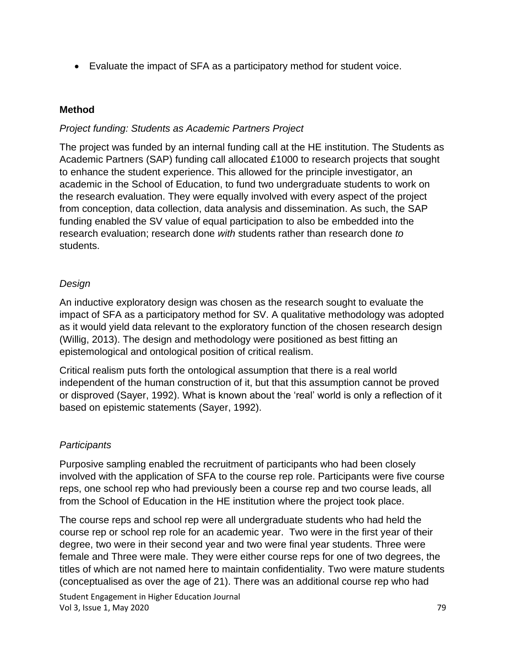• Evaluate the impact of SFA as a participatory method for student voice.

### **Method**

### *Project funding: Students as Academic Partners Project*

The project was funded by an internal funding call at the HE institution. The Students as Academic Partners (SAP) funding call allocated £1000 to research projects that sought to enhance the student experience. This allowed for the principle investigator, an academic in the School of Education, to fund two undergraduate students to work on the research evaluation. They were equally involved with every aspect of the project from conception, data collection, data analysis and dissemination. As such, the SAP funding enabled the SV value of equal participation to also be embedded into the research evaluation; research done *with* students rather than research done *to*  students.

### *Design*

An inductive exploratory design was chosen as the research sought to evaluate the impact of SFA as a participatory method for SV. A qualitative methodology was adopted as it would yield data relevant to the exploratory function of the chosen research design (Willig, 2013). The design and methodology were positioned as best fitting an epistemological and ontological position of critical realism.

Critical realism puts forth the ontological assumption that there is a real world independent of the human construction of it, but that this assumption cannot be proved or disproved (Sayer, 1992). What is known about the 'real' world is only a reflection of it based on epistemic statements (Sayer, 1992).

# *Participants*

Purposive sampling enabled the recruitment of participants who had been closely involved with the application of SFA to the course rep role. Participants were five course reps, one school rep who had previously been a course rep and two course leads, all from the School of Education in the HE institution where the project took place.

The course reps and school rep were all undergraduate students who had held the course rep or school rep role for an academic year. Two were in the first year of their degree, two were in their second year and two were final year students. Three were female and Three were male. They were either course reps for one of two degrees, the titles of which are not named here to maintain confidentiality. Two were mature students (conceptualised as over the age of 21). There was an additional course rep who had

Student Engagement in Higher Education Journal Vol 3, Issue 1, May 2020 79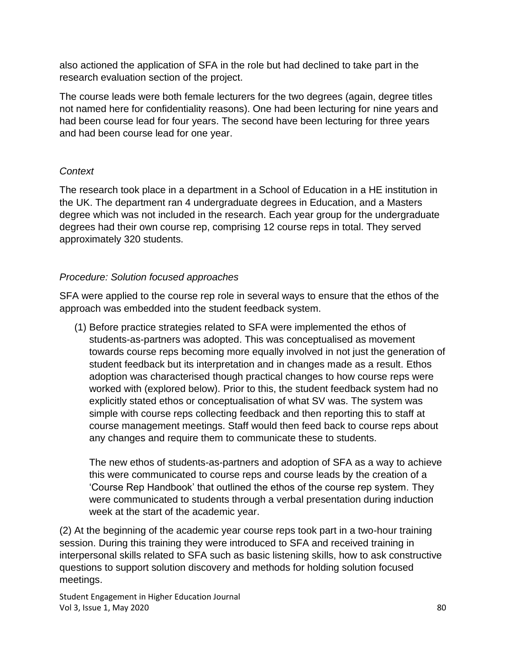also actioned the application of SFA in the role but had declined to take part in the research evaluation section of the project.

The course leads were both female lecturers for the two degrees (again, degree titles not named here for confidentiality reasons). One had been lecturing for nine years and had been course lead for four years. The second have been lecturing for three years and had been course lead for one year.

### *Context*

The research took place in a department in a School of Education in a HE institution in the UK. The department ran 4 undergraduate degrees in Education, and a Masters degree which was not included in the research. Each year group for the undergraduate degrees had their own course rep, comprising 12 course reps in total. They served approximately 320 students.

### *Procedure: Solution focused approaches*

SFA were applied to the course rep role in several ways to ensure that the ethos of the approach was embedded into the student feedback system.

(1) Before practice strategies related to SFA were implemented the ethos of students-as-partners was adopted. This was conceptualised as movement towards course reps becoming more equally involved in not just the generation of student feedback but its interpretation and in changes made as a result. Ethos adoption was characterised though practical changes to how course reps were worked with (explored below). Prior to this, the student feedback system had no explicitly stated ethos or conceptualisation of what SV was. The system was simple with course reps collecting feedback and then reporting this to staff at course management meetings. Staff would then feed back to course reps about any changes and require them to communicate these to students.

The new ethos of students-as-partners and adoption of SFA as a way to achieve this were communicated to course reps and course leads by the creation of a 'Course Rep Handbook' that outlined the ethos of the course rep system. They were communicated to students through a verbal presentation during induction week at the start of the academic year.

(2) At the beginning of the academic year course reps took part in a two-hour training session. During this training they were introduced to SFA and received training in interpersonal skills related to SFA such as basic listening skills, how to ask constructive questions to support solution discovery and methods for holding solution focused meetings.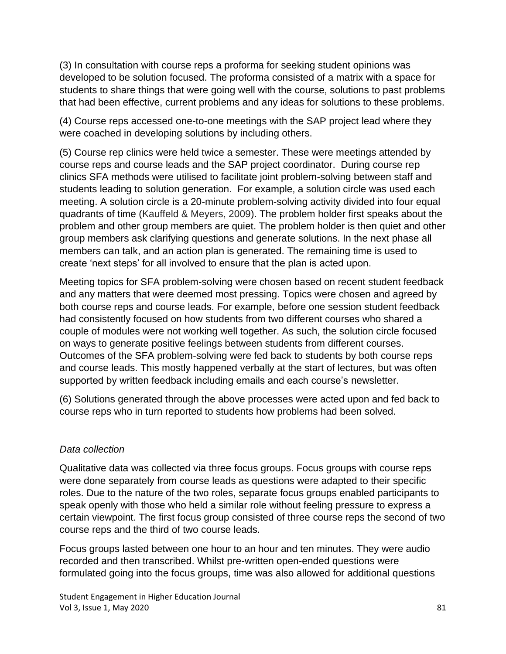(3) In consultation with course reps a proforma for seeking student opinions was developed to be solution focused. The proforma consisted of a matrix with a space for students to share things that were going well with the course, solutions to past problems that had been effective, current problems and any ideas for solutions to these problems.

(4) Course reps accessed one-to-one meetings with the SAP project lead where they were coached in developing solutions by including others.

(5) Course rep clinics were held twice a semester. These were meetings attended by course reps and course leads and the SAP project coordinator. During course rep clinics SFA methods were utilised to facilitate joint problem-solving between staff and students leading to solution generation. For example, a solution circle was used each meeting. A solution circle is a 20-minute problem-solving activity divided into four equal quadrants of time (Kauffeld & Meyers, 2009). The problem holder first speaks about the problem and other group members are quiet. The problem holder is then quiet and other group members ask clarifying questions and generate solutions. In the next phase all members can talk, and an action plan is generated. The remaining time is used to create 'next steps' for all involved to ensure that the plan is acted upon.

Meeting topics for SFA problem-solving were chosen based on recent student feedback and any matters that were deemed most pressing. Topics were chosen and agreed by both course reps and course leads. For example, before one session student feedback had consistently focused on how students from two different courses who shared a couple of modules were not working well together. As such, the solution circle focused on ways to generate positive feelings between students from different courses. Outcomes of the SFA problem-solving were fed back to students by both course reps and course leads. This mostly happened verbally at the start of lectures, but was often supported by written feedback including emails and each course's newsletter.

(6) Solutions generated through the above processes were acted upon and fed back to course reps who in turn reported to students how problems had been solved.

### *Data collection*

Qualitative data was collected via three focus groups. Focus groups with course reps were done separately from course leads as questions were adapted to their specific roles. Due to the nature of the two roles, separate focus groups enabled participants to speak openly with those who held a similar role without feeling pressure to express a certain viewpoint. The first focus group consisted of three course reps the second of two course reps and the third of two course leads.

Focus groups lasted between one hour to an hour and ten minutes. They were audio recorded and then transcribed. Whilst pre-written open-ended questions were formulated going into the focus groups, time was also allowed for additional questions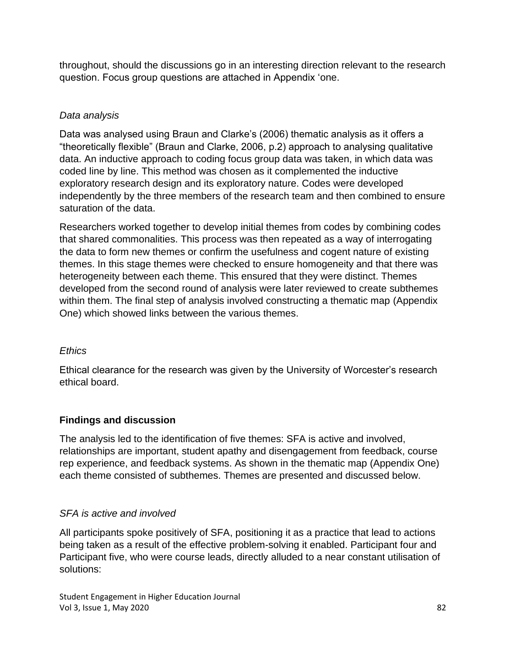throughout, should the discussions go in an interesting direction relevant to the research question. Focus group questions are attached in Appendix 'one.

# *Data analysis*

Data was analysed using Braun and Clarke's (2006) thematic analysis as it offers a "theoretically flexible" (Braun and Clarke, 2006, p.2) approach to analysing qualitative data. An inductive approach to coding focus group data was taken, in which data was coded line by line. This method was chosen as it complemented the inductive exploratory research design and its exploratory nature. Codes were developed independently by the three members of the research team and then combined to ensure saturation of the data.

Researchers worked together to develop initial themes from codes by combining codes that shared commonalities. This process was then repeated as a way of interrogating the data to form new themes or confirm the usefulness and cogent nature of existing themes. In this stage themes were checked to ensure homogeneity and that there was heterogeneity between each theme. This ensured that they were distinct. Themes developed from the second round of analysis were later reviewed to create subthemes within them. The final step of analysis involved constructing a thematic map (Appendix One) which showed links between the various themes.

# *Ethics*

Ethical clearance for the research was given by the University of Worcester's research ethical board.

# **Findings and discussion**

The analysis led to the identification of five themes: SFA is active and involved, relationships are important, student apathy and disengagement from feedback, course rep experience, and feedback systems. As shown in the thematic map (Appendix One) each theme consisted of subthemes. Themes are presented and discussed below.

# *SFA is active and involved*

All participants spoke positively of SFA, positioning it as a practice that lead to actions being taken as a result of the effective problem-solving it enabled. Participant four and Participant five, who were course leads, directly alluded to a near constant utilisation of solutions: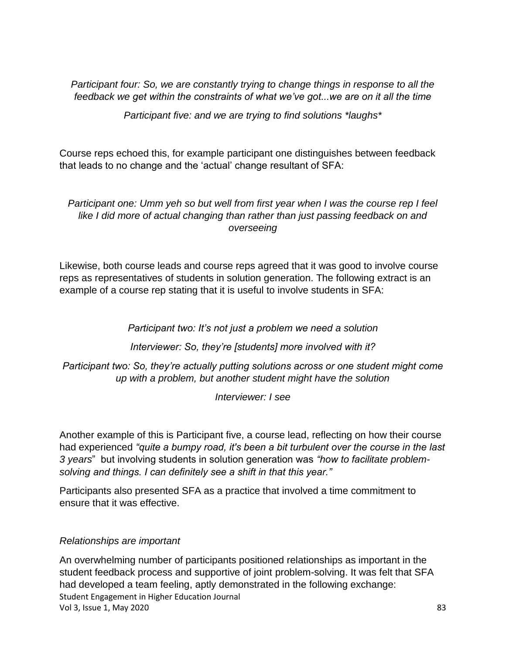*Participant four: So, we are constantly trying to change things in response to all the feedback we get within the constraints of what we've got...we are on it all the time*

*Participant five: and we are trying to find solutions \*laughs\**

Course reps echoed this, for example participant one distinguishes between feedback that leads to no change and the 'actual' change resultant of SFA:

### *Participant one: Umm yeh so but well from first year when I was the course rep I feel like I did more of actual changing than rather than just passing feedback on and overseeing*

Likewise, both course leads and course reps agreed that it was good to involve course reps as representatives of students in solution generation. The following extract is an example of a course rep stating that it is useful to involve students in SFA:

*Participant two: It's not just a problem we need a solution* 

*Interviewer: So, they're [students] more involved with it?*

*Participant two: So, they're actually putting solutions across or one student might come up with a problem, but another student might have the solution* 

*Interviewer: I see* 

Another example of this is Participant five, a course lead, reflecting on how their course had experienced *"quite a bumpy road, it's been a bit turbulent over the course in the last 3 years*" but involving students in solution generation was *"how to facilitate problemsolving and things. I can definitely see a shift in that this year."* 

Participants also presented SFA as a practice that involved a time commitment to ensure that it was effective.

### *Relationships are important*

Student Engagement in Higher Education Journal Vol 3, Issue 1, May 2020 83 An overwhelming number of participants positioned relationships as important in the student feedback process and supportive of joint problem-solving. It was felt that SFA had developed a team feeling, aptly demonstrated in the following exchange: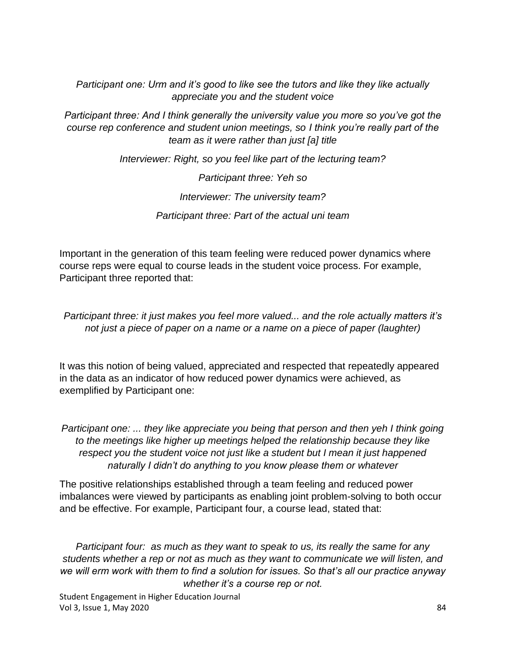*Participant one: Urm and it's good to like see the tutors and like they like actually appreciate you and the student voice*

*Participant three: And I think generally the university value you more so you've got the course rep conference and student union meetings, so I think you're really part of the team as it were rather than just [a] title*

*Interviewer: Right, so you feel like part of the lecturing team?*

*Participant three: Yeh so Interviewer: The university team? Participant three: Part of the actual uni team*

Important in the generation of this team feeling were reduced power dynamics where course reps were equal to course leads in the student voice process. For example, Participant three reported that:

*Participant three: it just makes you feel more valued... and the role actually matters it's not just a piece of paper on a name or a name on a piece of paper (laughter)*

It was this notion of being valued, appreciated and respected that repeatedly appeared in the data as an indicator of how reduced power dynamics were achieved, as exemplified by Participant one:

*Participant one: ... they like appreciate you being that person and then yeh I think going to the meetings like higher up meetings helped the relationship because they like respect you the student voice not just like a student but I mean it just happened naturally I didn't do anything to you know please them or whatever*

The positive relationships established through a team feeling and reduced power imbalances were viewed by participants as enabling joint problem-solving to both occur and be effective. For example, Participant four, a course lead, stated that:

*Participant four: as much as they want to speak to us, its really the same for any students whether a rep or not as much as they want to communicate we will listen, and we will erm work with them to find a solution for issues. So that's all our practice anyway whether it's a course rep or not.*

Student Engagement in Higher Education Journal Vol 3, Issue 1, May 2020 84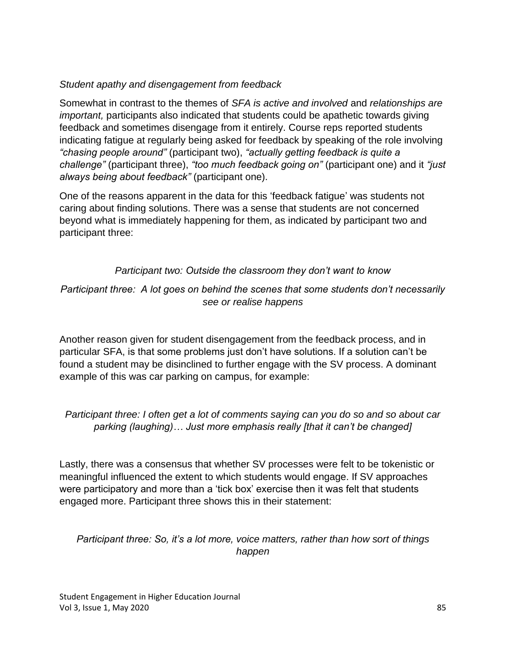### *Student apathy and disengagement from feedback*

Somewhat in contrast to the themes of *SFA is active and involved* and *relationships are important,* participants also indicated that students could be apathetic towards giving feedback and sometimes disengage from it entirely. Course reps reported students indicating fatigue at regularly being asked for feedback by speaking of the role involving *"chasing people around"* (participant two), *"actually getting feedback is quite a challenge"* (participant three), *"too much feedback going on"* (participant one) and it *"just always being about feedback"* (participant one).

One of the reasons apparent in the data for this 'feedback fatigue' was students not caring about finding solutions. There was a sense that students are not concerned beyond what is immediately happening for them, as indicated by participant two and participant three:

# *Participant two: Outside the classroom they don't want to know*

### *Participant three: A lot goes on behind the scenes that some students don't necessarily see or realise happens*

Another reason given for student disengagement from the feedback process, and in particular SFA, is that some problems just don't have solutions. If a solution can't be found a student may be disinclined to further engage with the SV process. A dominant example of this was car parking on campus, for example:

# *Participant three: I often get a lot of comments saying can you do so and so about car parking (laughing)… Just more emphasis really [that it can't be changed]*

Lastly, there was a consensus that whether SV processes were felt to be tokenistic or meaningful influenced the extent to which students would engage. If SV approaches were participatory and more than a 'tick box' exercise then it was felt that students engaged more. Participant three shows this in their statement:

### *Participant three: So, it's a lot more, voice matters, rather than how sort of things happen*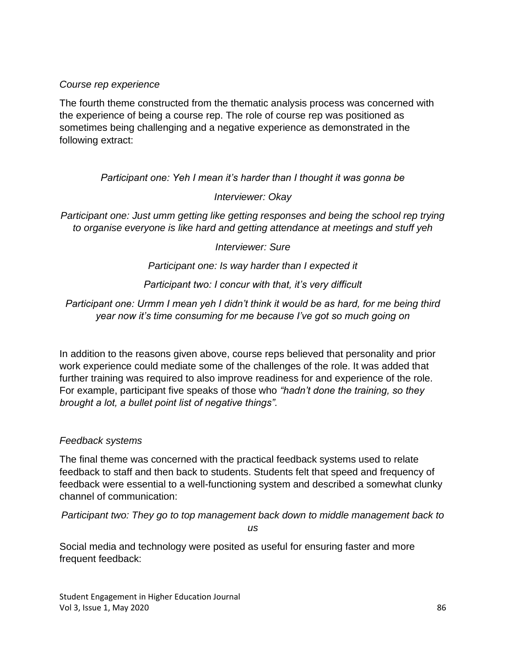#### *Course rep experience*

The fourth theme constructed from the thematic analysis process was concerned with the experience of being a course rep. The role of course rep was positioned as sometimes being challenging and a negative experience as demonstrated in the following extract:

*Participant one: Yeh I mean it's harder than I thought it was gonna be*

*Interviewer: Okay*

*Participant one: Just umm getting like getting responses and being the school rep trying to organise everyone is like hard and getting attendance at meetings and stuff yeh*

*Interviewer: Sure*

*Participant one: Is way harder than I expected it*

*Participant two: I concur with that, it's very difficult*

*Participant one: Urmm I mean yeh I didn't think it would be as hard, for me being third year now it's time consuming for me because I've got so much going on*

In addition to the reasons given above, course reps believed that personality and prior work experience could mediate some of the challenges of the role. It was added that further training was required to also improve readiness for and experience of the role. For example, participant five speaks of those who *"hadn't done the training, so they brought a lot, a bullet point list of negative things".*

#### *Feedback systems*

The final theme was concerned with the practical feedback systems used to relate feedback to staff and then back to students. Students felt that speed and frequency of feedback were essential to a well-functioning system and described a somewhat clunky channel of communication:

*Participant two: They go to top management back down to middle management back to* 

*us* 

Social media and technology were posited as useful for ensuring faster and more frequent feedback: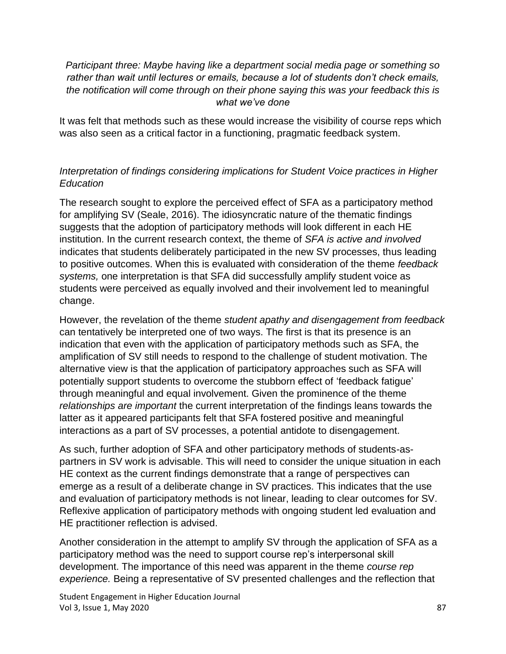*Participant three: Maybe having like a department social media page or something so rather than wait until lectures or emails, because a lot of students don't check emails, the notification will come through on their phone saying this was your feedback this is what we've done* 

It was felt that methods such as these would increase the visibility of course reps which was also seen as a critical factor in a functioning, pragmatic feedback system.

### *Interpretation of findings considering implications for Student Voice practices in Higher Education*

The research sought to explore the perceived effect of SFA as a participatory method for amplifying SV (Seale, 2016). The idiosyncratic nature of the thematic findings suggests that the adoption of participatory methods will look different in each HE institution. In the current research context, the theme of *SFA is active and involved*  indicates that students deliberately participated in the new SV processes, thus leading to positive outcomes. When this is evaluated with consideration of the theme *feedback systems,* one interpretation is that SFA did successfully amplify student voice as students were perceived as equally involved and their involvement led to meaningful change.

However, the revelation of the theme *student apathy and disengagement from feedback*  can tentatively be interpreted one of two ways. The first is that its presence is an indication that even with the application of participatory methods such as SFA, the amplification of SV still needs to respond to the challenge of student motivation. The alternative view is that the application of participatory approaches such as SFA will potentially support students to overcome the stubborn effect of 'feedback fatigue' through meaningful and equal involvement. Given the prominence of the theme *relationships are important* the current interpretation of the findings leans towards the latter as it appeared participants felt that SFA fostered positive and meaningful interactions as a part of SV processes, a potential antidote to disengagement.

As such, further adoption of SFA and other participatory methods of students-aspartners in SV work is advisable. This will need to consider the unique situation in each HE context as the current findings demonstrate that a range of perspectives can emerge as a result of a deliberate change in SV practices. This indicates that the use and evaluation of participatory methods is not linear, leading to clear outcomes for SV. Reflexive application of participatory methods with ongoing student led evaluation and HE practitioner reflection is advised.

Another consideration in the attempt to amplify SV through the application of SFA as a participatory method was the need to support course rep's interpersonal skill development. The importance of this need was apparent in the theme *course rep experience.* Being a representative of SV presented challenges and the reflection that

Student Engagement in Higher Education Journal Vol 3, Issue 1, May 2020 87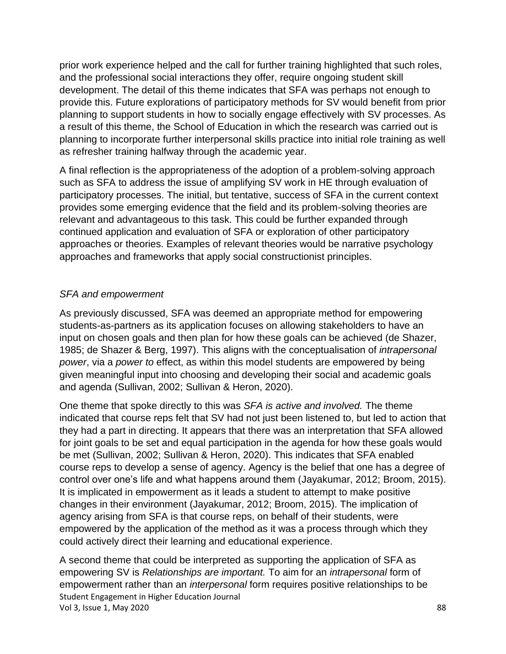prior work experience helped and the call for further training highlighted that such roles, and the professional social interactions they offer, require ongoing student skill development. The detail of this theme indicates that SFA was perhaps not enough to provide this. Future explorations of participatory methods for SV would benefit from prior planning to support students in how to socially engage effectively with SV processes. As a result of this theme, the School of Education in which the research was carried out is planning to incorporate further interpersonal skills practice into initial role training as well as refresher training halfway through the academic year.

A final reflection is the appropriateness of the adoption of a problem-solving approach such as SFA to address the issue of amplifying SV work in HE through evaluation of participatory processes. The initial, but tentative, success of SFA in the current context provides some emerging evidence that the field and its problem-solving theories are relevant and advantageous to this task. This could be further expanded through continued application and evaluation of SFA or exploration of other participatory approaches or theories. Examples of relevant theories would be narrative psychology approaches and frameworks that apply social constructionist principles.

### *SFA and empowerment*

As previously discussed, SFA was deemed an appropriate method for empowering students-as-partners as its application focuses on allowing stakeholders to have an input on chosen goals and then plan for how these goals can be achieved (de Shazer, 1985; de Shazer & Berg, 1997). This aligns with the conceptualisation of *intrapersonal power*, via a *power to* effect, as within this model students are empowered by being given meaningful input into choosing and developing their social and academic goals and agenda (Sullivan, 2002; Sullivan & Heron, 2020).

One theme that spoke directly to this was *SFA is active and involved.* The theme indicated that course reps felt that SV had not just been listened to, but led to action that they had a part in directing. It appears that there was an interpretation that SFA allowed for joint goals to be set and equal participation in the agenda for how these goals would be met (Sullivan, 2002; Sullivan & Heron, 2020). This indicates that SFA enabled course reps to develop a sense of agency. Agency is the belief that one has a degree of control over one's life and what happens around them (Jayakumar, 2012; Broom, 2015). It is implicated in empowerment as it leads a student to attempt to make positive changes in their environment (Jayakumar, 2012; Broom, 2015). The implication of agency arising from SFA is that course reps, on behalf of their students, were empowered by the application of the method as it was a process through which they could actively direct their learning and educational experience.

Student Engagement in Higher Education Journal Vol 3, Issue 1, May 2020 88 A second theme that could be interpreted as supporting the application of SFA as empowering SV is *Relationships are important.* To aim for an *intrapersonal* form of empowerment rather than an *interpersonal* form requires positive relationships to be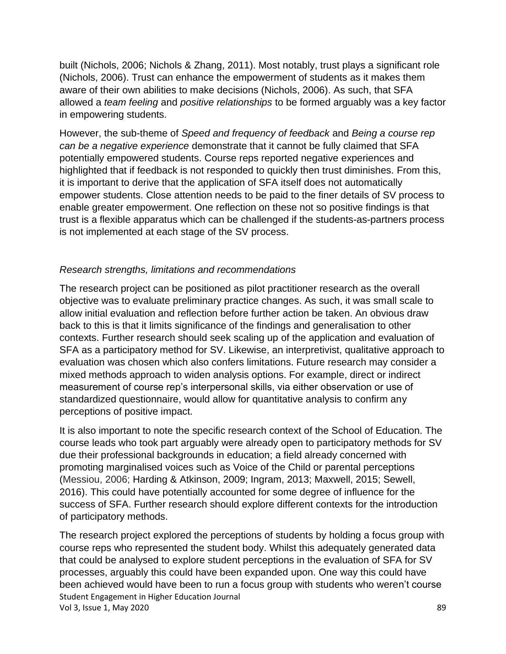built (Nichols, 2006; Nichols & Zhang, 2011). Most notably, trust plays a significant role (Nichols, 2006). Trust can enhance the empowerment of students as it makes them aware of their own abilities to make decisions (Nichols, 2006). As such, that SFA allowed a *team feeling* and *positive relationships* to be formed arguably was a key factor in empowering students.

However, the sub-theme of *Speed and frequency of feedback* and *Being a course rep can be a negative experience* demonstrate that it cannot be fully claimed that SFA potentially empowered students. Course reps reported negative experiences and highlighted that if feedback is not responded to quickly then trust diminishes. From this, it is important to derive that the application of SFA itself does not automatically empower students. Close attention needs to be paid to the finer details of SV process to enable greater empowerment. One reflection on these not so positive findings is that trust is a flexible apparatus which can be challenged if the students-as-partners process is not implemented at each stage of the SV process.

### *Research strengths, limitations and recommendations*

The research project can be positioned as pilot practitioner research as the overall objective was to evaluate preliminary practice changes. As such, it was small scale to allow initial evaluation and reflection before further action be taken. An obvious draw back to this is that it limits significance of the findings and generalisation to other contexts. Further research should seek scaling up of the application and evaluation of SFA as a participatory method for SV. Likewise, an interpretivist, qualitative approach to evaluation was chosen which also confers limitations. Future research may consider a mixed methods approach to widen analysis options. For example, direct or indirect measurement of course rep's interpersonal skills, via either observation or use of standardized questionnaire, would allow for quantitative analysis to confirm any perceptions of positive impact.

It is also important to note the specific research context of the School of Education. The course leads who took part arguably were already open to participatory methods for SV due their professional backgrounds in education; a field already concerned with promoting marginalised voices such as Voice of the Child or parental perceptions (Messiou, 2006; Harding & Atkinson, 2009; Ingram, 2013; Maxwell, 2015; Sewell, 2016). This could have potentially accounted for some degree of influence for the success of SFA. Further research should explore different contexts for the introduction of participatory methods.

Student Engagement in Higher Education Journal Vol 3, Issue 1, May 2020 89 and the state of the state of the state of the state of the state of the state of the state of the state of the state of the state of the state of the state of the state of the state of the stat The research project explored the perceptions of students by holding a focus group with course reps who represented the student body. Whilst this adequately generated data that could be analysed to explore student perceptions in the evaluation of SFA for SV processes, arguably this could have been expanded upon. One way this could have been achieved would have been to run a focus group with students who weren't course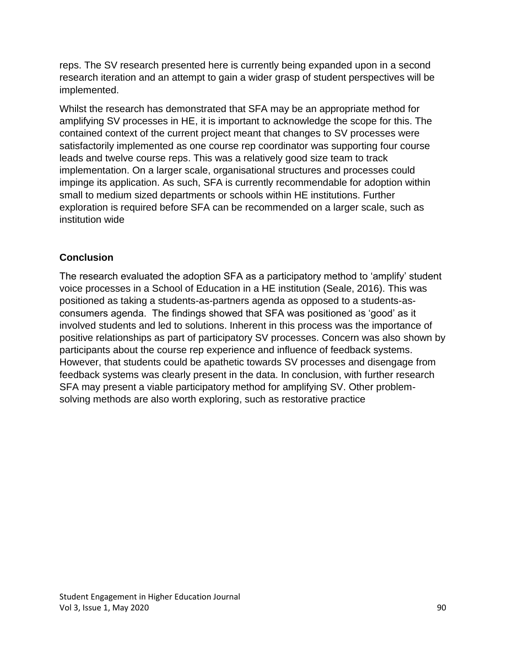reps. The SV research presented here is currently being expanded upon in a second research iteration and an attempt to gain a wider grasp of student perspectives will be implemented.

Whilst the research has demonstrated that SFA may be an appropriate method for amplifying SV processes in HE, it is important to acknowledge the scope for this. The contained context of the current project meant that changes to SV processes were satisfactorily implemented as one course rep coordinator was supporting four course leads and twelve course reps. This was a relatively good size team to track implementation. On a larger scale, organisational structures and processes could impinge its application. As such, SFA is currently recommendable for adoption within small to medium sized departments or schools within HE institutions. Further exploration is required before SFA can be recommended on a larger scale, such as institution wide

### **Conclusion**

The research evaluated the adoption SFA as a participatory method to 'amplify' student voice processes in a School of Education in a HE institution (Seale, 2016). This was positioned as taking a students-as-partners agenda as opposed to a students-asconsumers agenda. The findings showed that SFA was positioned as 'good' as it involved students and led to solutions. Inherent in this process was the importance of positive relationships as part of participatory SV processes. Concern was also shown by participants about the course rep experience and influence of feedback systems. However, that students could be apathetic towards SV processes and disengage from feedback systems was clearly present in the data. In conclusion, with further research SFA may present a viable participatory method for amplifying SV. Other problemsolving methods are also worth exploring, such as restorative practice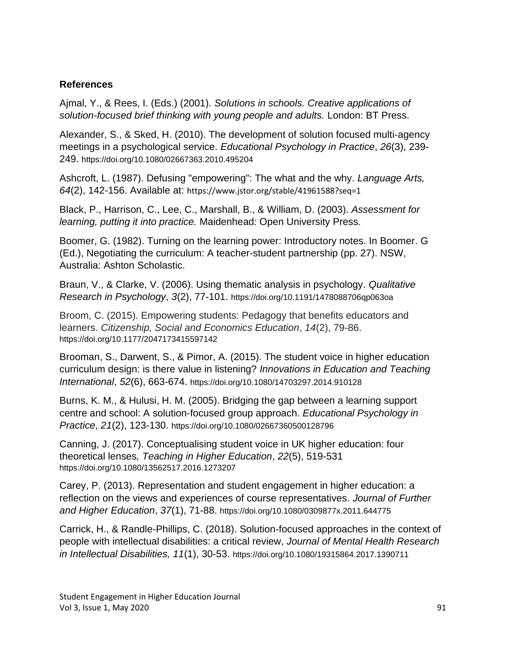#### **References**

Ajmal, Y., & Rees, I. (Eds.) (2001). *Solutions in schools. Creative applications of solution-focused brief thinking with young people and adults.* London: BT Press.

Alexander, S., & Sked, H. (2010). The development of solution focused multi‐agency meetings in a psychological service. *Educational Psychology in Practice*, *26*(3), 239- 249. https://doi.org/10.1080/02667363.2010.495204

Ashcroft, L. (1987). Defusing "empowering": The what and the why. *Language Arts, 64*(2), 142-156. Available at: https://www.jstor.org/stable/41961588?seq=1

Black, P., Harrison, C., Lee, C., Marshall, B., & William, D. (2003). *Assessment for learning, putting it into practice.* Maidenhead: Open University Press.

Boomer, G. (1982). Turning on the learning power: Introductory notes. In Boomer. G (Ed.), Negotiating the curriculum: A teacher-student partnership (pp. 27). NSW, Australia: Ashton Scholastic.

Braun, V., & Clarke, V. (2006). Using thematic analysis in psychology. *Qualitative Research in Psychology*, *3*(2), 77-101. https://doi.org/10.1191/1478088706qp063oa

Broom, C. (2015). Empowering students: Pedagogy that benefits educators and learners. *Citizenship, Social and Economics Education*, *14*(2), 79-86. https://doi.org/10.1177/2047173415597142

Brooman, S., Darwent, S., & Pimor, A. (2015). The student voice in higher education curriculum design: is there value in listening? *Innovations in Education and Teaching International*, *52*(6), 663-674. https://doi.org/10.1080/14703297.2014.910128

Burns, K. M., & Hulusi, H. M. (2005). Bridging the gap between a learning support centre and school: A solution‐focused group approach. *Educational Psychology in Practice*, *21*(2), 123-130. https://doi.org/10.1080/02667360500128796

Canning, J. (2017). Conceptualising student voice in UK higher education: four theoretical lenses*, Teaching in Higher Education*, *22*(5), 519-531 https://doi.org/10.1080/13562517.2016.1273207

Carey, P. (2013). Representation and student engagement in higher education: a reflection on the views and experiences of course representatives. *Journal of Further and Higher Education*, *37*(1), 71-88. https://doi.org/10.1080/0309877x.2011.644775

Carrick, H., & Randle-Phillips, C. (2018). Solution-focused approaches in the context of people with intellectual disabilities: a critical review, *Journal of Mental Health Research in Intellectual Disabilities, 11*(1), 30-53. https://doi.org/10.1080/19315864.2017.1390711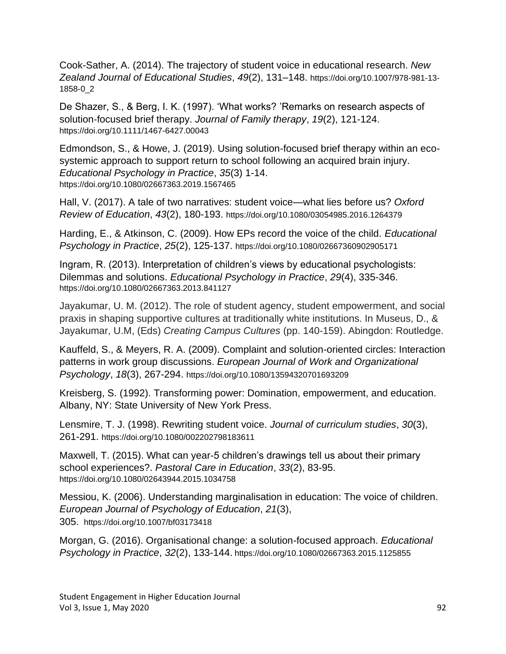Cook-Sather, A. (2014). The trajectory of student voice in educational research. *New Zealand Journal of Educational Studies*, *49*(2), 131–148. https://doi.org/10.1007/978-981-13- 1858-0\_2

De Shazer, S., & Berg, I. K. (1997). 'What works? 'Remarks on research aspects of solution‐focused brief therapy. *Journal of Family therapy*, *19*(2), 121-124. https://doi.org/10.1111/1467-6427.00043

Edmondson, S., & Howe, J. (2019). Using solution-focused brief therapy within an ecosystemic approach to support return to school following an acquired brain injury. *Educational Psychology in Practice*, *35*(3) 1-14. https://doi.org/10.1080/02667363.2019.1567465

Hall, V. (2017). A tale of two narratives: student voice—what lies before us? *Oxford Review of Education*, *43*(2), 180-193. https://doi.org/10.1080/03054985.2016.1264379

Harding, E., & Atkinson, C. (2009). How EPs record the voice of the child. *Educational Psychology in Practice*, *25*(2), 125-137. https://doi.org/10.1080/02667360902905171

Ingram, R. (2013). Interpretation of children's views by educational psychologists: Dilemmas and solutions. *Educational Psychology in Practice*, *29*(4), 335-346. https://doi.org/10.1080/02667363.2013.841127

Jayakumar, U. M. (2012). The role of student agency, student empowerment, and social praxis in shaping supportive cultures at traditionally white institutions. In Museus, D., & Jayakumar, U.M, (Eds) *Creating Campus Cultures* (pp. 140-159). Abingdon: Routledge.

Kauffeld, S., & Meyers, R. A. (2009). Complaint and solution-oriented circles: Interaction patterns in work group discussions. *European Journal of Work and Organizational Psychology*, *18*(3), 267-294. https://doi.org/10.1080/13594320701693209

Kreisberg, S. (1992). Transforming power: Domination, empowerment, and education. Albany, NY: State University of New York Press.

Lensmire, T. J. (1998). Rewriting student voice. *Journal of curriculum studies*, *30*(3), 261-291. https://doi.org/10.1080/002202798183611

Maxwell, T. (2015). What can year-5 children's drawings tell us about their primary school experiences?. *Pastoral Care in Education*, *33*(2), 83-95. https://doi.org/10.1080/02643944.2015.1034758

Messiou, K. (2006). Understanding marginalisation in education: The voice of children. *European Journal of Psychology of Education*, *21*(3), 305. https://doi.org/10.1007/bf03173418

Morgan, G. (2016). Organisational change: a solution-focused approach. *Educational Psychology in Practice*, *32*(2), 133-144. https://doi.org/10.1080/02667363.2015.1125855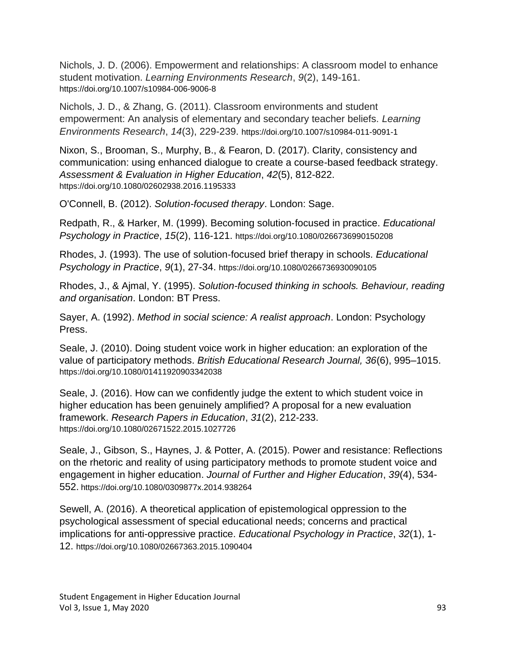Nichols, J. D. (2006). Empowerment and relationships: A classroom model to enhance student motivation. *Learning Environments Research*, *9*(2), 149-161. https://doi.org/10.1007/s10984-006-9006-8

Nichols, J. D., & Zhang, G. (2011). Classroom environments and student empowerment: An analysis of elementary and secondary teacher beliefs. *Learning Environments Research*, *14*(3), 229-239. https://doi.org/10.1007/s10984-011-9091-1

Nixon, S., Brooman, S., Murphy, B., & Fearon, D. (2017). Clarity, consistency and communication: using enhanced dialogue to create a course-based feedback strategy. *Assessment & Evaluation in Higher Education*, *42*(5), 812-822. https://doi.org/10.1080/02602938.2016.1195333

O'Connell, B. (2012). *Solution-focused therapy*. London: Sage.

Redpath, R., & Harker, M. (1999). Becoming solution‐focused in practice. *Educational Psychology in Practice*, *15*(2), 116-121. https://doi.org/10.1080/0266736990150208

Rhodes, J. (1993). The use of solution‐focused brief therapy in schools. *Educational Psychology in Practice*, *9*(1), 27-34. https://doi.org/10.1080/0266736930090105

Rhodes, J., & Ajmal, Y. (1995). *Solution-focused thinking in schools. Behaviour, reading and organisation*. London: BT Press.

Sayer, A. (1992). *Method in social science: A realist approach*. London: Psychology Press.

Seale, J. (2010). Doing student voice work in higher education: an exploration of the value of participatory methods. *British Educational Research Journal, 36*(6), 995–1015. https://doi.org/10.1080/01411920903342038

Seale, J. (2016). How can we confidently judge the extent to which student voice in higher education has been genuinely amplified? A proposal for a new evaluation framework. *Research Papers in Education*, *31*(2), 212-233. https://doi.org/10.1080/02671522.2015.1027726

Seale, J., Gibson, S., Haynes, J. & Potter, A. (2015). Power and resistance: Reflections on the rhetoric and reality of using participatory methods to promote student voice and engagement in higher education. *Journal of Further and Higher Education*, *39*(4), 534- 552. https://doi.org/10.1080/0309877x.2014.938264

Sewell, A. (2016). A theoretical application of epistemological oppression to the psychological assessment of special educational needs; concerns and practical implications for anti-oppressive practice. *Educational Psychology in Practice*, *32*(1), 1- 12. https://doi.org/10.1080/02667363.2015.1090404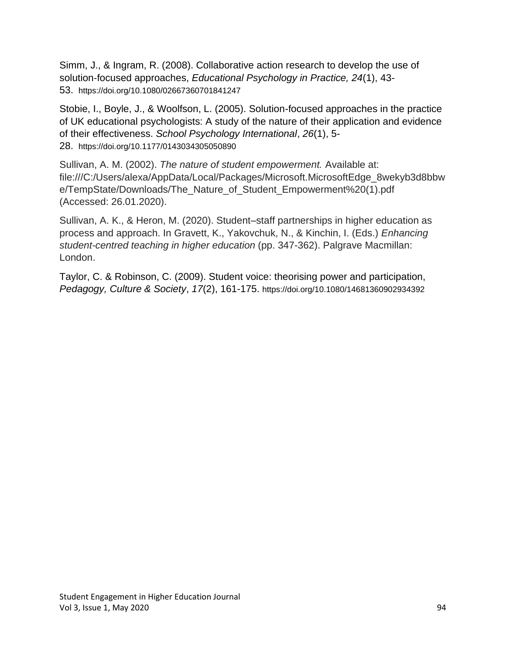Simm, J., & Ingram, R. (2008). Collaborative action research to develop the use of solution‐focused approaches, *Educational Psychology in Practice, 24*(1), 43- 53. https://doi.org/10.1080/02667360701841247

Stobie, I., Boyle, J., & Woolfson, L. (2005). Solution-focused approaches in the practice of UK educational psychologists: A study of the nature of their application and evidence of their effectiveness. *School Psychology International*, *26*(1), 5- 28. https://doi.org/10.1177/0143034305050890

Sullivan, A. M. (2002). *The nature of student empowerment.* Available at: file:///C:/Users/alexa/AppData/Local/Packages/Microsoft.MicrosoftEdge\_8wekyb3d8bbw e/TempState/Downloads/The\_Nature\_of\_Student\_Empowerment%20(1).pdf (Accessed: 26.01.2020).

Sullivan, A. K., & Heron, M. (2020). Student–staff partnerships in higher education as process and approach. In Gravett, K., Yakovchuk, N., & Kinchin, I. (Eds.) *Enhancing student-centred teaching in higher education* (pp. 347-362). Palgrave Macmillan: London.

Taylor, C. & Robinson, C. (2009). Student voice: theorising power and participation, *Pedagogy, Culture & Society*, *17*(2), 161-175. https://doi.org/10.1080/14681360902934392